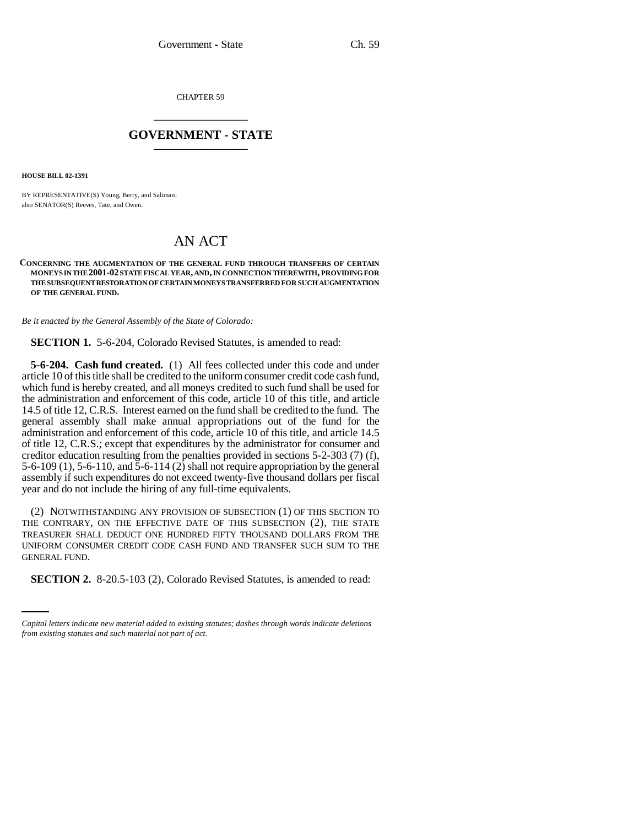CHAPTER 59 \_\_\_\_\_\_\_\_\_\_\_\_\_\_\_

## **GOVERNMENT - STATE** \_\_\_\_\_\_\_\_\_\_\_\_\_\_\_

**HOUSE BILL 02-1391**

BY REPRESENTATIVE(S) Young, Berry, and Saliman; also SENATOR(S) Reeves, Tate, and Owen.

## AN ACT

**CONCERNING THE AUGMENTATION OF THE GENERAL FUND THROUGH TRANSFERS OF CERTAIN MONEYS IN THE 2001-02 STATE FISCAL YEAR, AND, IN CONNECTION THEREWITH, PROVIDING FOR THE SUBSEQUENT RESTORATION OF CERTAIN MONEYS TRANSFERRED FOR SUCH AUGMENTATION OF THE GENERAL FUND.**

*Be it enacted by the General Assembly of the State of Colorado:*

**SECTION 1.** 5-6-204, Colorado Revised Statutes, is amended to read:

**5-6-204. Cash fund created.** (1) All fees collected under this code and under article 10 of this title shall be credited to the uniform consumer credit code cash fund, which fund is hereby created, and all moneys credited to such fund shall be used for the administration and enforcement of this code, article 10 of this title, and article 14.5 of title 12, C.R.S. Interest earned on the fund shall be credited to the fund. The general assembly shall make annual appropriations out of the fund for the administration and enforcement of this code, article 10 of this title, and article 14.5 of title 12, C.R.S.; except that expenditures by the administrator for consumer and creditor education resulting from the penalties provided in sections 5-2-303 (7) (f), 5-6-109 (1), 5-6-110, and  $\overline{5}$ -6-114 (2) shall not require appropriation by the general assembly if such expenditures do not exceed twenty-five thousand dollars per fiscal year and do not include the hiring of any full-time equivalents.

GENERAL FUND. (2) NOTWITHSTANDING ANY PROVISION OF SUBSECTION (1) OF THIS SECTION TO THE CONTRARY, ON THE EFFECTIVE DATE OF THIS SUBSECTION (2), THE STATE TREASURER SHALL DEDUCT ONE HUNDRED FIFTY THOUSAND DOLLARS FROM THE UNIFORM CONSUMER CREDIT CODE CASH FUND AND TRANSFER SUCH SUM TO THE

**SECTION 2.** 8-20.5-103 (2), Colorado Revised Statutes, is amended to read:

*Capital letters indicate new material added to existing statutes; dashes through words indicate deletions from existing statutes and such material not part of act.*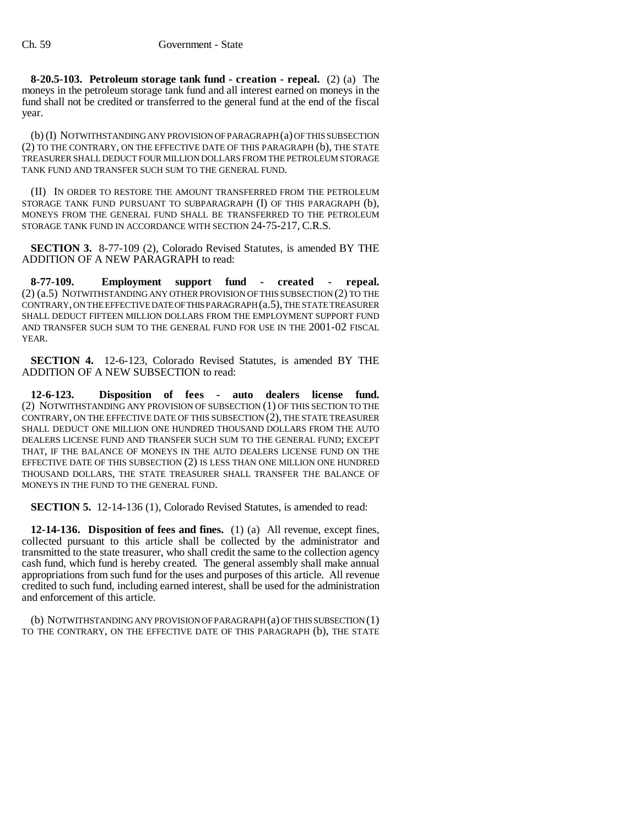**8-20.5-103. Petroleum storage tank fund - creation - repeal.** (2) (a) The moneys in the petroleum storage tank fund and all interest earned on moneys in the fund shall not be credited or transferred to the general fund at the end of the fiscal year.

(b) (I) NOTWITHSTANDING ANY PROVISION OF PARAGRAPH (a) OF THIS SUBSECTION (2) TO THE CONTRARY, ON THE EFFECTIVE DATE OF THIS PARAGRAPH (b), THE STATE TREASURER SHALL DEDUCT FOUR MILLION DOLLARS FROM THE PETROLEUM STORAGE TANK FUND AND TRANSFER SUCH SUM TO THE GENERAL FUND.

(II) IN ORDER TO RESTORE THE AMOUNT TRANSFERRED FROM THE PETROLEUM STORAGE TANK FUND PURSUANT TO SUBPARAGRAPH (I) OF THIS PARAGRAPH (b), MONEYS FROM THE GENERAL FUND SHALL BE TRANSFERRED TO THE PETROLEUM STORAGE TANK FUND IN ACCORDANCE WITH SECTION 24-75-217, C.R.S.

**SECTION 3.** 8-77-109 (2), Colorado Revised Statutes, is amended BY THE ADDITION OF A NEW PARAGRAPH to read:

**8-77-109. Employment support fund - created - repeal.** (2) (a.5) NOTWITHSTANDING ANY OTHER PROVISION OF THIS SUBSECTION (2) TO THE CONTRARY, ON THE EFFECTIVE DATE OF THIS PARAGRAPH (a.5), THE STATE TREASURER SHALL DEDUCT FIFTEEN MILLION DOLLARS FROM THE EMPLOYMENT SUPPORT FUND AND TRANSFER SUCH SUM TO THE GENERAL FUND FOR USE IN THE 2001-02 FISCAL YEAR.

**SECTION 4.** 12-6-123, Colorado Revised Statutes, is amended BY THE ADDITION OF A NEW SUBSECTION to read:

**12-6-123. Disposition of fees - auto dealers license fund.** (2) NOTWITHSTANDING ANY PROVISION OF SUBSECTION (1) OF THIS SECTION TO THE CONTRARY, ON THE EFFECTIVE DATE OF THIS SUBSECTION (2), THE STATE TREASURER SHALL DEDUCT ONE MILLION ONE HUNDRED THOUSAND DOLLARS FROM THE AUTO DEALERS LICENSE FUND AND TRANSFER SUCH SUM TO THE GENERAL FUND; EXCEPT THAT, IF THE BALANCE OF MONEYS IN THE AUTO DEALERS LICENSE FUND ON THE EFFECTIVE DATE OF THIS SUBSECTION (2) IS LESS THAN ONE MILLION ONE HUNDRED THOUSAND DOLLARS, THE STATE TREASURER SHALL TRANSFER THE BALANCE OF MONEYS IN THE FUND TO THE GENERAL FUND.

**SECTION 5.** 12-14-136 (1), Colorado Revised Statutes, is amended to read:

**12-14-136. Disposition of fees and fines.** (1) (a) All revenue, except fines, collected pursuant to this article shall be collected by the administrator and transmitted to the state treasurer, who shall credit the same to the collection agency cash fund, which fund is hereby created. The general assembly shall make annual appropriations from such fund for the uses and purposes of this article. All revenue credited to such fund, including earned interest, shall be used for the administration and enforcement of this article.

(b) NOTWITHSTANDING ANY PROVISION OF PARAGRAPH (a) OF THIS SUBSECTION (1) TO THE CONTRARY, ON THE EFFECTIVE DATE OF THIS PARAGRAPH (b), THE STATE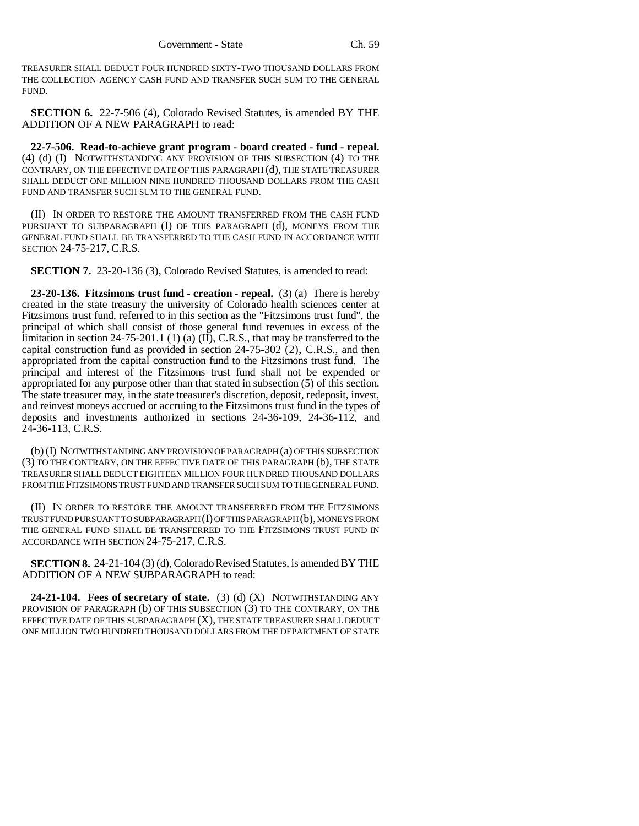TREASURER SHALL DEDUCT FOUR HUNDRED SIXTY-TWO THOUSAND DOLLARS FROM THE COLLECTION AGENCY CASH FUND AND TRANSFER SUCH SUM TO THE GENERAL FUND.

**SECTION 6.** 22-7-506 (4), Colorado Revised Statutes, is amended BY THE ADDITION OF A NEW PARAGRAPH to read:

**22-7-506. Read-to-achieve grant program - board created - fund - repeal.** (4) (d) (I) NOTWITHSTANDING ANY PROVISION OF THIS SUBSECTION (4) TO THE CONTRARY, ON THE EFFECTIVE DATE OF THIS PARAGRAPH (d), THE STATE TREASURER SHALL DEDUCT ONE MILLION NINE HUNDRED THOUSAND DOLLARS FROM THE CASH FUND AND TRANSFER SUCH SUM TO THE GENERAL FUND.

(II) IN ORDER TO RESTORE THE AMOUNT TRANSFERRED FROM THE CASH FUND PURSUANT TO SUBPARAGRAPH (I) OF THIS PARAGRAPH (d), MONEYS FROM THE GENERAL FUND SHALL BE TRANSFERRED TO THE CASH FUND IN ACCORDANCE WITH SECTION 24-75-217, C.R.S.

**SECTION 7.** 23-20-136 (3), Colorado Revised Statutes, is amended to read:

**23-20-136. Fitzsimons trust fund - creation - repeal.** (3) (a) There is hereby created in the state treasury the university of Colorado health sciences center at Fitzsimons trust fund, referred to in this section as the "Fitzsimons trust fund", the principal of which shall consist of those general fund revenues in excess of the limitation in section 24-75-201.1 (1) (a)  $(II)$ , C.R.S., that may be transferred to the capital construction fund as provided in section 24-75-302 (2), C.R.S., and then appropriated from the capital construction fund to the Fitzsimons trust fund. The principal and interest of the Fitzsimons trust fund shall not be expended or appropriated for any purpose other than that stated in subsection (5) of this section. The state treasurer may, in the state treasurer's discretion, deposit, redeposit, invest, and reinvest moneys accrued or accruing to the Fitzsimons trust fund in the types of deposits and investments authorized in sections 24-36-109, 24-36-112, and 24-36-113, C.R.S.

(b) (I) NOTWITHSTANDING ANY PROVISION OF PARAGRAPH (a) OF THIS SUBSECTION (3) TO THE CONTRARY, ON THE EFFECTIVE DATE OF THIS PARAGRAPH (b), THE STATE TREASURER SHALL DEDUCT EIGHTEEN MILLION FOUR HUNDRED THOUSAND DOLLARS FROM THE FITZSIMONS TRUST FUND AND TRANSFER SUCH SUM TO THE GENERAL FUND.

(II) IN ORDER TO RESTORE THE AMOUNT TRANSFERRED FROM THE FITZSIMONS TRUST FUND PURSUANT TO SUBPARAGRAPH (I) OF THIS PARAGRAPH (b), MONEYS FROM THE GENERAL FUND SHALL BE TRANSFERRED TO THE FITZSIMONS TRUST FUND IN ACCORDANCE WITH SECTION 24-75-217, C.R.S.

**SECTION 8.** 24-21-104 (3) (d), Colorado Revised Statutes, is amended BY THE ADDITION OF A NEW SUBPARAGRAPH to read:

**24-21-104. Fees of secretary of state.** (3) (d) (X) NOTWITHSTANDING ANY PROVISION OF PARAGRAPH (b) OF THIS SUBSECTION (3) TO THE CONTRARY, ON THE EFFECTIVE DATE OF THIS SUBPARAGRAPH (X), THE STATE TREASURER SHALL DEDUCT ONE MILLION TWO HUNDRED THOUSAND DOLLARS FROM THE DEPARTMENT OF STATE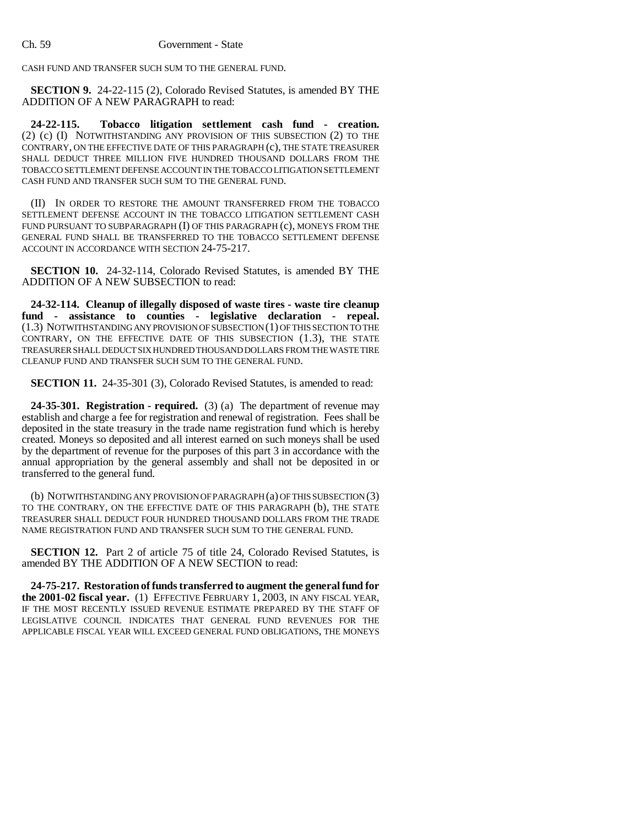## Ch. 59 Government - State

CASH FUND AND TRANSFER SUCH SUM TO THE GENERAL FUND.

**SECTION 9.** 24-22-115 (2), Colorado Revised Statutes, is amended BY THE ADDITION OF A NEW PARAGRAPH to read:

**24-22-115. Tobacco litigation settlement cash fund - creation.** (2) (c) (I) NOTWITHSTANDING ANY PROVISION OF THIS SUBSECTION (2) TO THE CONTRARY, ON THE EFFECTIVE DATE OF THIS PARAGRAPH (c), THE STATE TREASURER SHALL DEDUCT THREE MILLION FIVE HUNDRED THOUSAND DOLLARS FROM THE TOBACCO SETTLEMENT DEFENSE ACCOUNT IN THE TOBACCO LITIGATION SETTLEMENT CASH FUND AND TRANSFER SUCH SUM TO THE GENERAL FUND.

(II) IN ORDER TO RESTORE THE AMOUNT TRANSFERRED FROM THE TOBACCO SETTLEMENT DEFENSE ACCOUNT IN THE TOBACCO LITIGATION SETTLEMENT CASH FUND PURSUANT TO SUBPARAGRAPH (I) OF THIS PARAGRAPH (c), MONEYS FROM THE GENERAL FUND SHALL BE TRANSFERRED TO THE TOBACCO SETTLEMENT DEFENSE ACCOUNT IN ACCORDANCE WITH SECTION 24-75-217.

**SECTION 10.** 24-32-114, Colorado Revised Statutes, is amended BY THE ADDITION OF A NEW SUBSECTION to read:

**24-32-114. Cleanup of illegally disposed of waste tires - waste tire cleanup fund - assistance to counties - legislative declaration - repeal.** (1.3) NOTWITHSTANDING ANY PROVISION OF SUBSECTION (1) OF THIS SECTION TO THE CONTRARY, ON THE EFFECTIVE DATE OF THIS SUBSECTION (1.3), THE STATE TREASURER SHALL DEDUCT SIX HUNDRED THOUSAND DOLLARS FROM THE WASTE TIRE CLEANUP FUND AND TRANSFER SUCH SUM TO THE GENERAL FUND.

**SECTION 11.** 24-35-301 (3), Colorado Revised Statutes, is amended to read:

**24-35-301. Registration - required.** (3) (a) The department of revenue may establish and charge a fee for registration and renewal of registration. Fees shall be deposited in the state treasury in the trade name registration fund which is hereby created. Moneys so deposited and all interest earned on such moneys shall be used by the department of revenue for the purposes of this part 3 in accordance with the annual appropriation by the general assembly and shall not be deposited in or transferred to the general fund.

(b) NOTWITHSTANDING ANY PROVISION OF PARAGRAPH (a) OF THIS SUBSECTION (3) TO THE CONTRARY, ON THE EFFECTIVE DATE OF THIS PARAGRAPH (b), THE STATE TREASURER SHALL DEDUCT FOUR HUNDRED THOUSAND DOLLARS FROM THE TRADE NAME REGISTRATION FUND AND TRANSFER SUCH SUM TO THE GENERAL FUND.

**SECTION 12.** Part 2 of article 75 of title 24, Colorado Revised Statutes, is amended BY THE ADDITION OF A NEW SECTION to read:

**24-75-217. Restoration of funds transferred to augment the general fund for the 2001-02 fiscal year.** (1) EFFECTIVE FEBRUARY 1, 2003, IN ANY FISCAL YEAR, IF THE MOST RECENTLY ISSUED REVENUE ESTIMATE PREPARED BY THE STAFF OF LEGISLATIVE COUNCIL INDICATES THAT GENERAL FUND REVENUES FOR THE APPLICABLE FISCAL YEAR WILL EXCEED GENERAL FUND OBLIGATIONS, THE MONEYS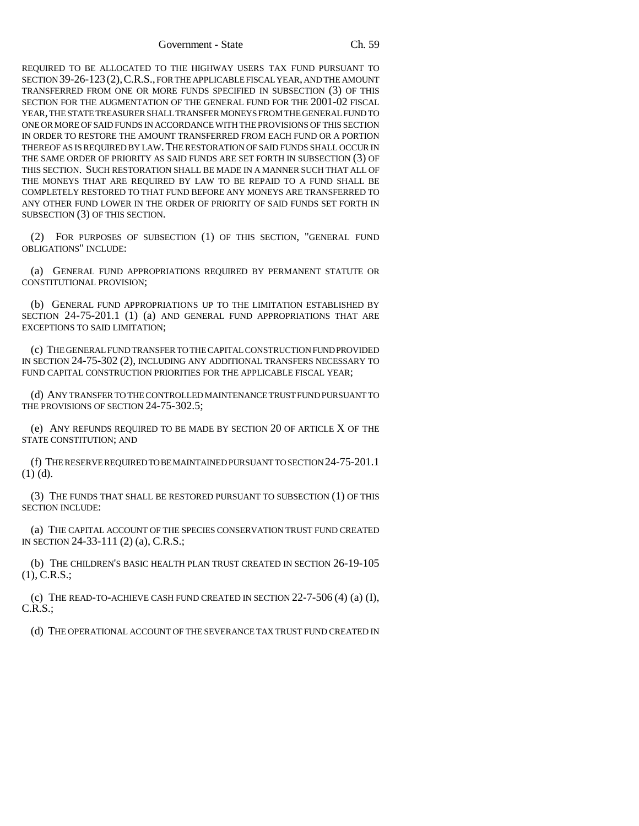REQUIRED TO BE ALLOCATED TO THE HIGHWAY USERS TAX FUND PURSUANT TO SECTION 39-26-123(2),C.R.S., FOR THE APPLICABLE FISCAL YEAR, AND THE AMOUNT TRANSFERRED FROM ONE OR MORE FUNDS SPECIFIED IN SUBSECTION (3) OF THIS SECTION FOR THE AUGMENTATION OF THE GENERAL FUND FOR THE 2001-02 FISCAL YEAR, THE STATE TREASURER SHALL TRANSFER MONEYS FROM THE GENERAL FUND TO ONE OR MORE OF SAID FUNDS IN ACCORDANCE WITH THE PROVISIONS OF THIS SECTION IN ORDER TO RESTORE THE AMOUNT TRANSFERRED FROM EACH FUND OR A PORTION THEREOF AS IS REQUIRED BY LAW.THE RESTORATION OF SAID FUNDS SHALL OCCUR IN THE SAME ORDER OF PRIORITY AS SAID FUNDS ARE SET FORTH IN SUBSECTION (3) OF THIS SECTION. SUCH RESTORATION SHALL BE MADE IN A MANNER SUCH THAT ALL OF THE MONEYS THAT ARE REQUIRED BY LAW TO BE REPAID TO A FUND SHALL BE COMPLETELY RESTORED TO THAT FUND BEFORE ANY MONEYS ARE TRANSFERRED TO ANY OTHER FUND LOWER IN THE ORDER OF PRIORITY OF SAID FUNDS SET FORTH IN SUBSECTION (3) OF THIS SECTION.

(2) FOR PURPOSES OF SUBSECTION (1) OF THIS SECTION, "GENERAL FUND OBLIGATIONS" INCLUDE:

(a) GENERAL FUND APPROPRIATIONS REQUIRED BY PERMANENT STATUTE OR CONSTITUTIONAL PROVISION;

(b) GENERAL FUND APPROPRIATIONS UP TO THE LIMITATION ESTABLISHED BY SECTION 24-75-201.1 (1) (a) AND GENERAL FUND APPROPRIATIONS THAT ARE EXCEPTIONS TO SAID LIMITATION;

(c) THE GENERAL FUND TRANSFER TO THE CAPITAL CONSTRUCTION FUND PROVIDED IN SECTION 24-75-302 (2), INCLUDING ANY ADDITIONAL TRANSFERS NECESSARY TO FUND CAPITAL CONSTRUCTION PRIORITIES FOR THE APPLICABLE FISCAL YEAR:

(d) ANY TRANSFER TO THE CONTROLLED MAINTENANCE TRUST FUND PURSUANT TO THE PROVISIONS OF SECTION 24-75-302.5;

(e) ANY REFUNDS REQUIRED TO BE MADE BY SECTION 20 OF ARTICLE X OF THE STATE CONSTITUTION; AND

(f) THE RESERVE REQUIRED TO BE MAINTAINED PURSUANT TO SECTION 24-75-201.1 (1) (d).

(3) THE FUNDS THAT SHALL BE RESTORED PURSUANT TO SUBSECTION (1) OF THIS SECTION INCLUDE:

(a) THE CAPITAL ACCOUNT OF THE SPECIES CONSERVATION TRUST FUND CREATED IN SECTION 24-33-111 (2) (a), C.R.S.;

(b) THE CHILDREN'S BASIC HEALTH PLAN TRUST CREATED IN SECTION 26-19-105 (1), C.R.S.;

(c) THE READ-TO-ACHIEVE CASH FUND CREATED IN SECTION  $22$ -7-506 (4) (a) (I), C.R.S.;

(d) THE OPERATIONAL ACCOUNT OF THE SEVERANCE TAX TRUST FUND CREATED IN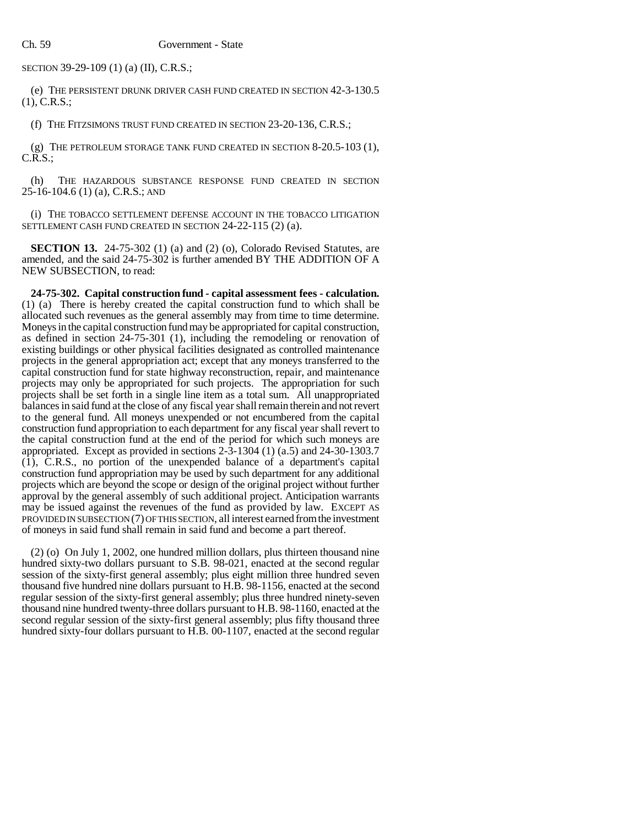SECTION 39-29-109 (1) (a) (II), C.R.S.;

(e) THE PERSISTENT DRUNK DRIVER CASH FUND CREATED IN SECTION 42-3-130.5 (1), C.R.S.;

(f) THE FITZSIMONS TRUST FUND CREATED IN SECTION 23-20-136, C.R.S.;

(g) THE PETROLEUM STORAGE TANK FUND CREATED IN SECTION 8-20.5-103 (1),  $C.R.S.$ ;

(h) THE HAZARDOUS SUBSTANCE RESPONSE FUND CREATED IN SECTION 25-16-104.6 (1) (a), C.R.S.; AND

(i) THE TOBACCO SETTLEMENT DEFENSE ACCOUNT IN THE TOBACCO LITIGATION SETTLEMENT CASH FUND CREATED IN SECTION 24-22-115 (2) (a).

**SECTION 13.** 24-75-302 (1) (a) and (2) (o), Colorado Revised Statutes, are amended, and the said 24-75-302 is further amended BY THE ADDITION OF A NEW SUBSECTION, to read:

**24-75-302. Capital construction fund - capital assessment fees - calculation.** (1) (a) There is hereby created the capital construction fund to which shall be allocated such revenues as the general assembly may from time to time determine. Moneys in the capital construction fund may be appropriated for capital construction, as defined in section 24-75-301 (1), including the remodeling or renovation of existing buildings or other physical facilities designated as controlled maintenance projects in the general appropriation act; except that any moneys transferred to the capital construction fund for state highway reconstruction, repair, and maintenance projects may only be appropriated for such projects. The appropriation for such projects shall be set forth in a single line item as a total sum. All unappropriated balances in said fund at the close of any fiscal year shall remain therein and not revert to the general fund. All moneys unexpended or not encumbered from the capital construction fund appropriation to each department for any fiscal year shall revert to the capital construction fund at the end of the period for which such moneys are appropriated. Except as provided in sections 2-3-1304 (1) (a.5) and 24-30-1303.7 (1), C.R.S., no portion of the unexpended balance of a department's capital construction fund appropriation may be used by such department for any additional projects which are beyond the scope or design of the original project without further approval by the general assembly of such additional project. Anticipation warrants may be issued against the revenues of the fund as provided by law. EXCEPT AS PROVIDED IN SUBSECTION (7) OF THIS SECTION, all interest earned from the investment of moneys in said fund shall remain in said fund and become a part thereof.

(2) (o) On July 1, 2002, one hundred million dollars, plus thirteen thousand nine hundred sixty-two dollars pursuant to S.B. 98-021, enacted at the second regular session of the sixty-first general assembly; plus eight million three hundred seven thousand five hundred nine dollars pursuant to H.B. 98-1156, enacted at the second regular session of the sixty-first general assembly; plus three hundred ninety-seven thousand nine hundred twenty-three dollars pursuant to H.B. 98-1160, enacted at the second regular session of the sixty-first general assembly; plus fifty thousand three hundred sixty-four dollars pursuant to H.B. 00-1107, enacted at the second regular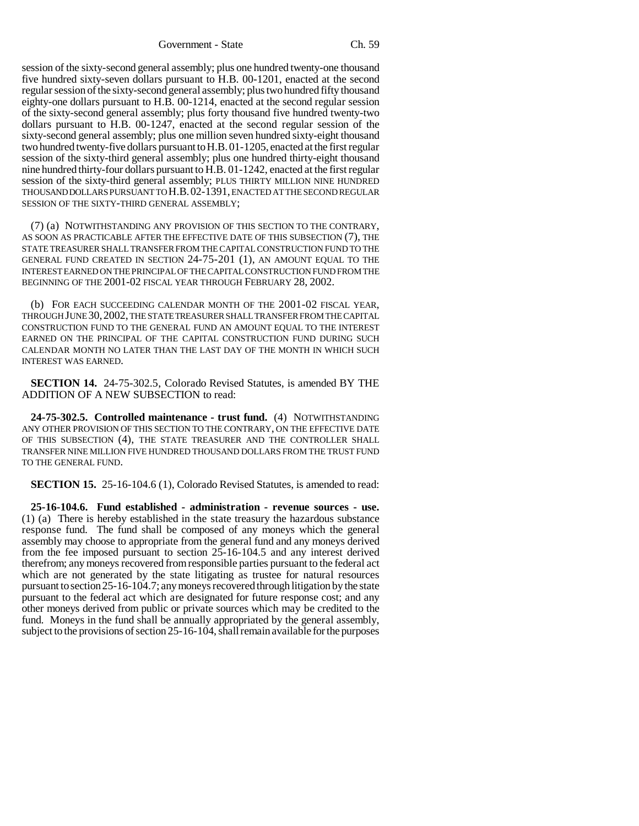Government - State Ch. 59

session of the sixty-second general assembly; plus one hundred twenty-one thousand five hundred sixty-seven dollars pursuant to H.B. 00-1201, enacted at the second regular session of the sixty-second general assembly; plus two hundred fifty thousand eighty-one dollars pursuant to H.B. 00-1214, enacted at the second regular session of the sixty-second general assembly; plus forty thousand five hundred twenty-two dollars pursuant to H.B. 00-1247, enacted at the second regular session of the sixty-second general assembly; plus one million seven hundred sixty-eight thousand two hundred twenty-five dollars pursuant to H.B. 01-1205, enacted at the first regular session of the sixty-third general assembly; plus one hundred thirty-eight thousand nine hundred thirty-four dollars pursuant to H.B. 01-1242, enacted at the first regular session of the sixty-third general assembly; PLUS THIRTY MILLION NINE HUNDRED THOUSAND DOLLARS PURSUANT TO H.B.02-1391, ENACTED AT THE SECOND REGULAR SESSION OF THE SIXTY-THIRD GENERAL ASSEMBLY;

(7) (a) NOTWITHSTANDING ANY PROVISION OF THIS SECTION TO THE CONTRARY, AS SOON AS PRACTICABLE AFTER THE EFFECTIVE DATE OF THIS SUBSECTION (7), THE STATE TREASURER SHALL TRANSFER FROM THE CAPITAL CONSTRUCTION FUND TO THE GENERAL FUND CREATED IN SECTION 24-75-201 (1), AN AMOUNT EQUAL TO THE INTEREST EARNED ON THE PRINCIPAL OF THE CAPITAL CONSTRUCTION FUND FROM THE BEGINNING OF THE 2001-02 FISCAL YEAR THROUGH FEBRUARY 28, 2002.

(b) FOR EACH SUCCEEDING CALENDAR MONTH OF THE 2001-02 FISCAL YEAR, THROUGH JUNE 30,2002, THE STATE TREASURER SHALL TRANSFER FROM THE CAPITAL CONSTRUCTION FUND TO THE GENERAL FUND AN AMOUNT EQUAL TO THE INTEREST EARNED ON THE PRINCIPAL OF THE CAPITAL CONSTRUCTION FUND DURING SUCH CALENDAR MONTH NO LATER THAN THE LAST DAY OF THE MONTH IN WHICH SUCH INTEREST WAS EARNED.

**SECTION 14.** 24-75-302.5, Colorado Revised Statutes, is amended BY THE ADDITION OF A NEW SUBSECTION to read:

**24-75-302.5. Controlled maintenance - trust fund.** (4) NOTWITHSTANDING ANY OTHER PROVISION OF THIS SECTION TO THE CONTRARY, ON THE EFFECTIVE DATE OF THIS SUBSECTION (4), THE STATE TREASURER AND THE CONTROLLER SHALL TRANSFER NINE MILLION FIVE HUNDRED THOUSAND DOLLARS FROM THE TRUST FUND TO THE GENERAL FUND.

**SECTION 15.** 25-16-104.6 (1), Colorado Revised Statutes, is amended to read:

**25-16-104.6. Fund established - administration - revenue sources - use.** (1) (a) There is hereby established in the state treasury the hazardous substance response fund. The fund shall be composed of any moneys which the general assembly may choose to appropriate from the general fund and any moneys derived from the fee imposed pursuant to section 25-16-104.5 and any interest derived therefrom; any moneys recovered from responsible parties pursuant to the federal act which are not generated by the state litigating as trustee for natural resources pursuant to section 25-16-104.7; any moneys recovered through litigation by the state pursuant to the federal act which are designated for future response cost; and any other moneys derived from public or private sources which may be credited to the fund. Moneys in the fund shall be annually appropriated by the general assembly, subject to the provisions of section 25-16-104, shall remain available for the purposes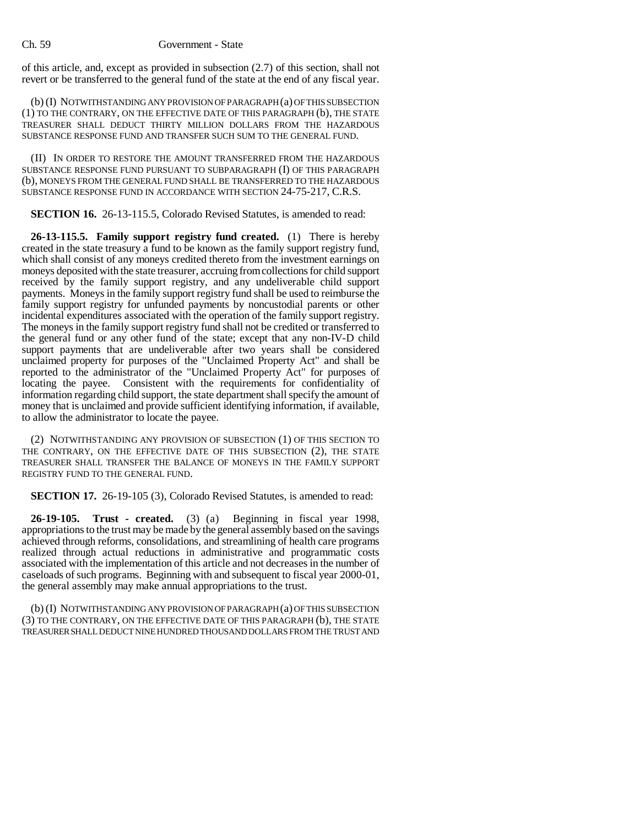## Ch. 59 Government - State

of this article, and, except as provided in subsection (2.7) of this section, shall not revert or be transferred to the general fund of the state at the end of any fiscal year.

(b) (I) NOTWITHSTANDING ANY PROVISION OF PARAGRAPH (a) OF THIS SUBSECTION (1) TO THE CONTRARY, ON THE EFFECTIVE DATE OF THIS PARAGRAPH (b), THE STATE TREASURER SHALL DEDUCT THIRTY MILLION DOLLARS FROM THE HAZARDOUS SUBSTANCE RESPONSE FUND AND TRANSFER SUCH SUM TO THE GENERAL FUND.

(II) IN ORDER TO RESTORE THE AMOUNT TRANSFERRED FROM THE HAZARDOUS SUBSTANCE RESPONSE FUND PURSUANT TO SUBPARAGRAPH (I) OF THIS PARAGRAPH (b), MONEYS FROM THE GENERAL FUND SHALL BE TRANSFERRED TO THE HAZARDOUS SUBSTANCE RESPONSE FUND IN ACCORDANCE WITH SECTION 24-75-217, C.R.S.

**SECTION 16.** 26-13-115.5, Colorado Revised Statutes, is amended to read:

**26-13-115.5. Family support registry fund created.** (1) There is hereby created in the state treasury a fund to be known as the family support registry fund, which shall consist of any moneys credited thereto from the investment earnings on moneys deposited with the state treasurer, accruing from collections for child support received by the family support registry, and any undeliverable child support payments. Moneys in the family support registry fund shall be used to reimburse the family support registry for unfunded payments by noncustodial parents or other incidental expenditures associated with the operation of the family support registry. The moneys in the family support registry fund shall not be credited or transferred to the general fund or any other fund of the state; except that any non-IV-D child support payments that are undeliverable after two years shall be considered unclaimed property for purposes of the "Unclaimed Property Act" and shall be reported to the administrator of the "Unclaimed Property Act" for purposes of locating the payee. Consistent with the requirements for confidentiality of information regarding child support, the state department shall specify the amount of money that is unclaimed and provide sufficient identifying information, if available, to allow the administrator to locate the payee.

(2) NOTWITHSTANDING ANY PROVISION OF SUBSECTION (1) OF THIS SECTION TO THE CONTRARY, ON THE EFFECTIVE DATE OF THIS SUBSECTION (2), THE STATE TREASURER SHALL TRANSFER THE BALANCE OF MONEYS IN THE FAMILY SUPPORT REGISTRY FUND TO THE GENERAL FUND.

**SECTION 17.** 26-19-105 (3), Colorado Revised Statutes, is amended to read:

**26-19-105. Trust - created.** (3) (a) Beginning in fiscal year 1998, appropriations to the trust may be made by the general assembly based on the savings achieved through reforms, consolidations, and streamlining of health care programs realized through actual reductions in administrative and programmatic costs associated with the implementation of this article and not decreases in the number of caseloads of such programs. Beginning with and subsequent to fiscal year 2000-01, the general assembly may make annual appropriations to the trust.

(b) (I) NOTWITHSTANDING ANY PROVISION OF PARAGRAPH (a) OF THIS SUBSECTION (3) TO THE CONTRARY, ON THE EFFECTIVE DATE OF THIS PARAGRAPH (b), THE STATE TREASURER SHALL DEDUCT NINE HUNDRED THOUSAND DOLLARS FROM THE TRUST AND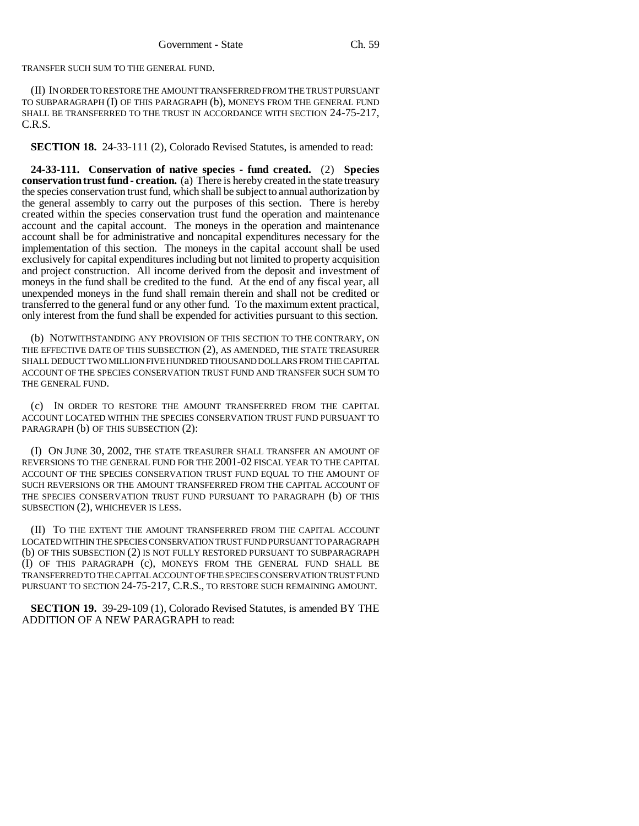TRANSFER SUCH SUM TO THE GENERAL FUND.

(II) IN ORDER TO RESTORE THE AMOUNT TRANSFERRED FROM THE TRUST PURSUANT TO SUBPARAGRAPH (I) OF THIS PARAGRAPH (b), MONEYS FROM THE GENERAL FUND SHALL BE TRANSFERRED TO THE TRUST IN ACCORDANCE WITH SECTION 24-75-217, C.R.S.

**SECTION 18.** 24-33-111 (2), Colorado Revised Statutes, is amended to read:

**24-33-111. Conservation of native species - fund created.** (2) **Species conservation trust fund - creation.** (a) There is hereby created in the state treasury the species conservation trust fund, which shall be subject to annual authorization by the general assembly to carry out the purposes of this section. There is hereby created within the species conservation trust fund the operation and maintenance account and the capital account. The moneys in the operation and maintenance account shall be for administrative and noncapital expenditures necessary for the implementation of this section. The moneys in the capital account shall be used exclusively for capital expenditures including but not limited to property acquisition and project construction. All income derived from the deposit and investment of moneys in the fund shall be credited to the fund. At the end of any fiscal year, all unexpended moneys in the fund shall remain therein and shall not be credited or transferred to the general fund or any other fund. To the maximum extent practical, only interest from the fund shall be expended for activities pursuant to this section.

(b) NOTWITHSTANDING ANY PROVISION OF THIS SECTION TO THE CONTRARY, ON THE EFFECTIVE DATE OF THIS SUBSECTION (2), AS AMENDED, THE STATE TREASURER SHALL DEDUCT TWO MILLION FIVE HUNDRED THOUSAND DOLLARS FROM THE CAPITAL ACCOUNT OF THE SPECIES CONSERVATION TRUST FUND AND TRANSFER SUCH SUM TO THE GENERAL FUND.

(c) IN ORDER TO RESTORE THE AMOUNT TRANSFERRED FROM THE CAPITAL ACCOUNT LOCATED WITHIN THE SPECIES CONSERVATION TRUST FUND PURSUANT TO PARAGRAPH (b) OF THIS SUBSECTION (2):

(I) ON JUNE 30, 2002, THE STATE TREASURER SHALL TRANSFER AN AMOUNT OF REVERSIONS TO THE GENERAL FUND FOR THE 2001-02 FISCAL YEAR TO THE CAPITAL ACCOUNT OF THE SPECIES CONSERVATION TRUST FUND EQUAL TO THE AMOUNT OF SUCH REVERSIONS OR THE AMOUNT TRANSFERRED FROM THE CAPITAL ACCOUNT OF THE SPECIES CONSERVATION TRUST FUND PURSUANT TO PARAGRAPH (b) OF THIS SUBSECTION (2), WHICHEVER IS LESS.

(II) TO THE EXTENT THE AMOUNT TRANSFERRED FROM THE CAPITAL ACCOUNT LOCATED WITHIN THE SPECIES CONSERVATION TRUST FUND PURSUANT TO PARAGRAPH (b) OF THIS SUBSECTION (2) IS NOT FULLY RESTORED PURSUANT TO SUBPARAGRAPH (I) OF THIS PARAGRAPH (c), MONEYS FROM THE GENERAL FUND SHALL BE TRANSFERRED TO THE CAPITAL ACCOUNT OF THE SPECIES CONSERVATION TRUST FUND PURSUANT TO SECTION 24-75-217, C.R.S., TO RESTORE SUCH REMAINING AMOUNT.

**SECTION 19.** 39-29-109 (1), Colorado Revised Statutes, is amended BY THE ADDITION OF A NEW PARAGRAPH to read: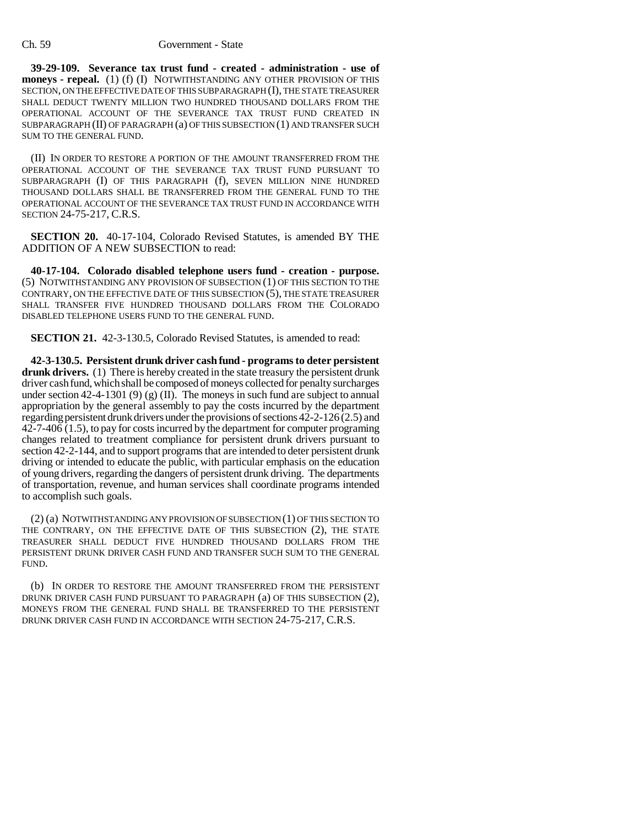**39-29-109. Severance tax trust fund - created - administration - use of moneys - repeal.** (1) (f) (I) NOTWITHSTANDING ANY OTHER PROVISION OF THIS SECTION, ON THE EFFECTIVE DATE OF THIS SUBPARAGRAPH (I), THE STATE TREASURER SHALL DEDUCT TWENTY MILLION TWO HUNDRED THOUSAND DOLLARS FROM THE OPERATIONAL ACCOUNT OF THE SEVERANCE TAX TRUST FUND CREATED IN SUBPARAGRAPH (II) OF PARAGRAPH (a) OF THIS SUBSECTION (1) AND TRANSFER SUCH SUM TO THE GENERAL FUND.

(II) IN ORDER TO RESTORE A PORTION OF THE AMOUNT TRANSFERRED FROM THE OPERATIONAL ACCOUNT OF THE SEVERANCE TAX TRUST FUND PURSUANT TO SUBPARAGRAPH (I) OF THIS PARAGRAPH (f), SEVEN MILLION NINE HUNDRED THOUSAND DOLLARS SHALL BE TRANSFERRED FROM THE GENERAL FUND TO THE OPERATIONAL ACCOUNT OF THE SEVERANCE TAX TRUST FUND IN ACCORDANCE WITH SECTION 24-75-217, C.R.S.

**SECTION 20.** 40-17-104, Colorado Revised Statutes, is amended BY THE ADDITION OF A NEW SUBSECTION to read:

**40-17-104. Colorado disabled telephone users fund - creation - purpose.** (5) NOTWITHSTANDING ANY PROVISION OF SUBSECTION (1) OF THIS SECTION TO THE CONTRARY, ON THE EFFECTIVE DATE OF THIS SUBSECTION (5), THE STATE TREASURER SHALL TRANSFER FIVE HUNDRED THOUSAND DOLLARS FROM THE COLORADO DISABLED TELEPHONE USERS FUND TO THE GENERAL FUND.

**SECTION 21.** 42-3-130.5, Colorado Revised Statutes, is amended to read:

**42-3-130.5. Persistent drunk driver cash fund - programs to deter persistent** drunk drivers. (1) There is hereby created in the state treasury the persistent drunk driver cash fund, which shall be composed of moneys collected for penalty surcharges under section 42-4-1301 (9) (g) (II). The moneys in such fund are subject to annual appropriation by the general assembly to pay the costs incurred by the department regarding persistent drunk drivers under the provisions of sections 42-2-126 (2.5) and  $42-7-406(1.5)$ , to pay for costs incurred by the department for computer programing changes related to treatment compliance for persistent drunk drivers pursuant to section 42-2-144, and to support programs that are intended to deter persistent drunk driving or intended to educate the public, with particular emphasis on the education of young drivers, regarding the dangers of persistent drunk driving. The departments of transportation, revenue, and human services shall coordinate programs intended to accomplish such goals.

(2) (a) NOTWITHSTANDING ANY PROVISION OF SUBSECTION (1) OF THIS SECTION TO THE CONTRARY, ON THE EFFECTIVE DATE OF THIS SUBSECTION (2), THE STATE TREASURER SHALL DEDUCT FIVE HUNDRED THOUSAND DOLLARS FROM THE PERSISTENT DRUNK DRIVER CASH FUND AND TRANSFER SUCH SUM TO THE GENERAL FUND.

(b) IN ORDER TO RESTORE THE AMOUNT TRANSFERRED FROM THE PERSISTENT DRUNK DRIVER CASH FUND PURSUANT TO PARAGRAPH (a) OF THIS SUBSECTION (2), MONEYS FROM THE GENERAL FUND SHALL BE TRANSFERRED TO THE PERSISTENT DRUNK DRIVER CASH FUND IN ACCORDANCE WITH SECTION 24-75-217, C.R.S.